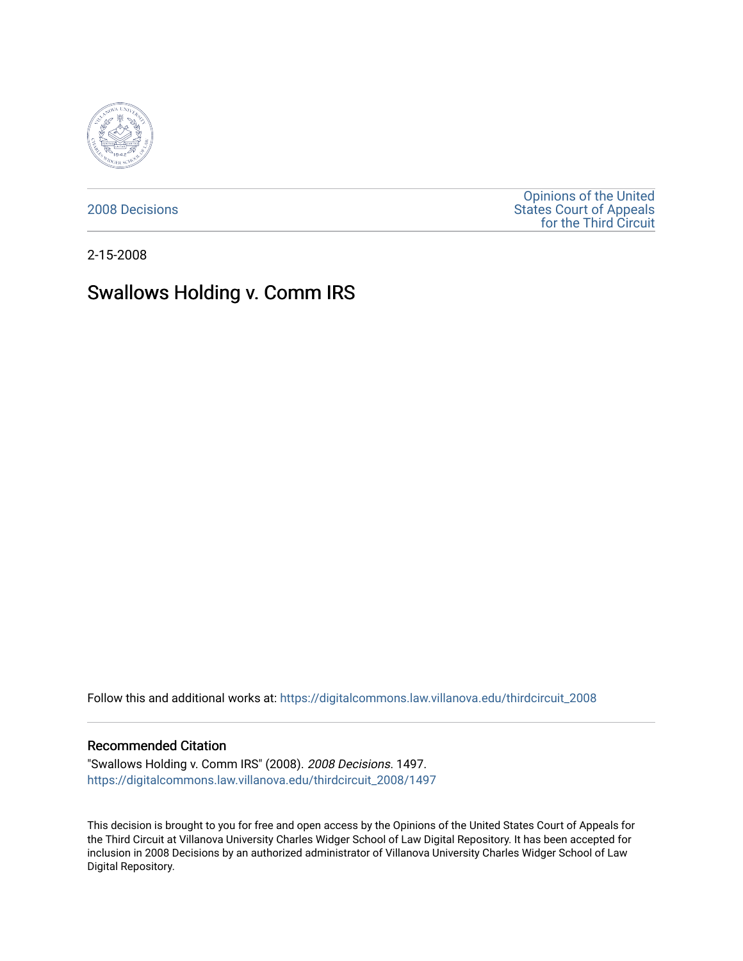

[2008 Decisions](https://digitalcommons.law.villanova.edu/thirdcircuit_2008)

[Opinions of the United](https://digitalcommons.law.villanova.edu/thirdcircuit)  [States Court of Appeals](https://digitalcommons.law.villanova.edu/thirdcircuit)  [for the Third Circuit](https://digitalcommons.law.villanova.edu/thirdcircuit) 

2-15-2008

# Swallows Holding v. Comm IRS

Follow this and additional works at: [https://digitalcommons.law.villanova.edu/thirdcircuit\\_2008](https://digitalcommons.law.villanova.edu/thirdcircuit_2008?utm_source=digitalcommons.law.villanova.edu%2Fthirdcircuit_2008%2F1497&utm_medium=PDF&utm_campaign=PDFCoverPages) 

### Recommended Citation

"Swallows Holding v. Comm IRS" (2008). 2008 Decisions. 1497. [https://digitalcommons.law.villanova.edu/thirdcircuit\\_2008/1497](https://digitalcommons.law.villanova.edu/thirdcircuit_2008/1497?utm_source=digitalcommons.law.villanova.edu%2Fthirdcircuit_2008%2F1497&utm_medium=PDF&utm_campaign=PDFCoverPages) 

This decision is brought to you for free and open access by the Opinions of the United States Court of Appeals for the Third Circuit at Villanova University Charles Widger School of Law Digital Repository. It has been accepted for inclusion in 2008 Decisions by an authorized administrator of Villanova University Charles Widger School of Law Digital Repository.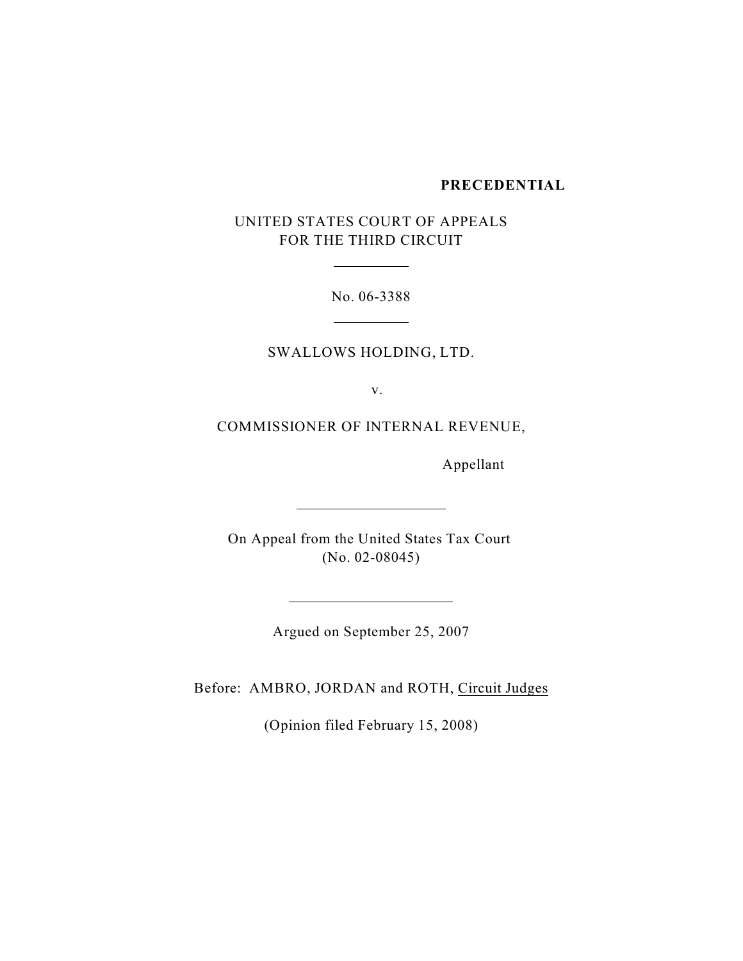## **PRECEDENTIAL**

UNITED STATES COURT OF APPEALS FOR THE THIRD CIRCUIT

 $\overline{a}$ 

 $\overline{a}$ 

 $\overline{a}$ 

No. 06-3388

SWALLOWS HOLDING, LTD.

v.

COMMISSIONER OF INTERNAL REVENUE,

Appellant

On Appeal from the United States Tax Court (No. 02-08045)

Argued on September 25, 2007

Before: AMBRO, JORDAN and ROTH, Circuit Judges

(Opinion filed February 15, 2008)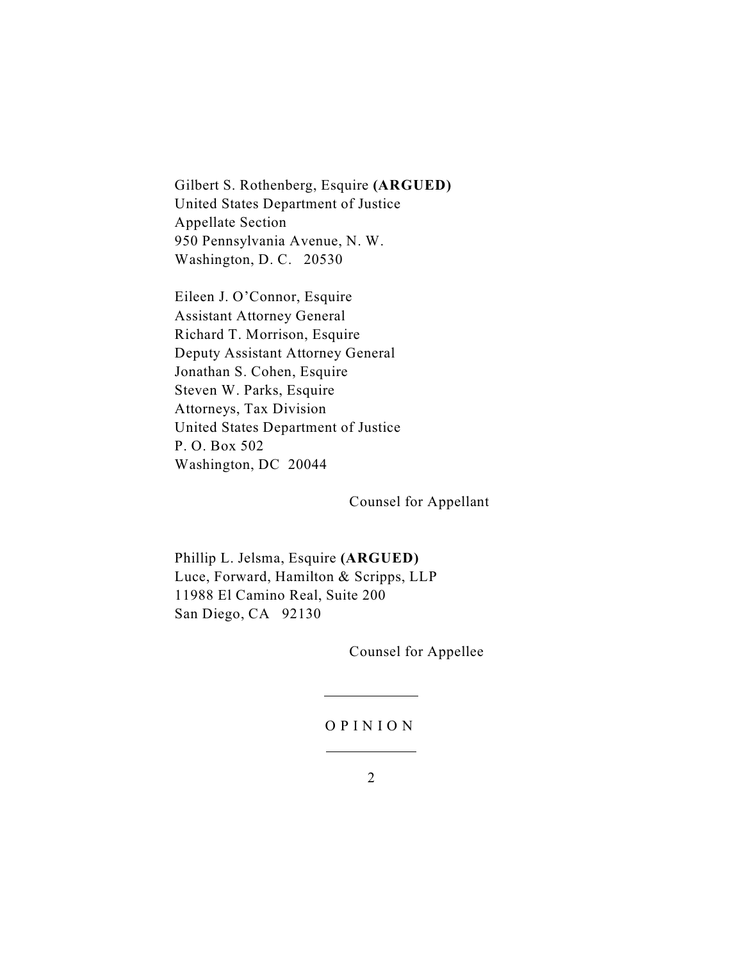Gilbert S. Rothenberg, Esquire **(ARGUED)** United States Department of Justice Appellate Section 950 Pennsylvania Avenue, N. W. Washington, D. C. 20530

Eileen J. O'Connor, Esquire Assistant Attorney General Richard T. Morrison, Esquire Deputy Assistant Attorney General Jonathan S. Cohen, Esquire Steven W. Parks, Esquire Attorneys, Tax Division United States Department of Justice P. O. Box 502 Washington, DC 20044

Counsel for Appellant

Phillip L. Jelsma, Esquire **(ARGUED)** Luce, Forward, Hamilton & Scripps, LLP 11988 El Camino Real, Suite 200 San Diego, CA 92130

 $\overline{a}$ 

 $\overline{a}$ 

Counsel for Appellee

#### O P I N I O N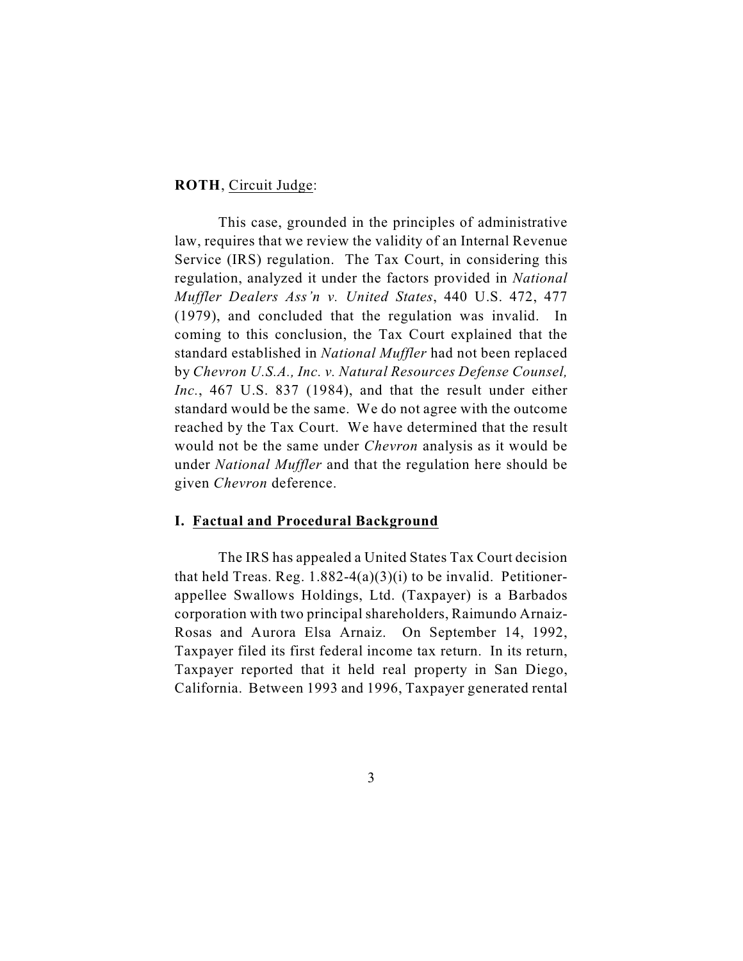#### **ROTH**, Circuit Judge:

This case, grounded in the principles of administrative law, requires that we review the validity of an Internal Revenue Service (IRS) regulation. The Tax Court, in considering this regulation, analyzed it under the factors provided in *National Muffler Dealers Ass'n v. United States*, 440 U.S. 472, 477 (1979), and concluded that the regulation was invalid. In coming to this conclusion, the Tax Court explained that the standard established in *National Muffler* had not been replaced by *Chevron U.S.A., Inc. v. Natural Resources Defense Counsel, Inc.*, 467 U.S. 837 (1984), and that the result under either standard would be the same. We do not agree with the outcome reached by the Tax Court. We have determined that the result would not be the same under *Chevron* analysis as it would be under *National Muffler* and that the regulation here should be given *Chevron* deference.

## **I. Factual and Procedural Background**

The IRS has appealed a United States Tax Court decision that held Treas. Reg.  $1.882-4(a)(3)(i)$  to be invalid. Petitionerappellee Swallows Holdings, Ltd. (Taxpayer) is a Barbados corporation with two principal shareholders, Raimundo Arnaiz-Rosas and Aurora Elsa Arnaiz. On September 14, 1992, Taxpayer filed its first federal income tax return. In its return, Taxpayer reported that it held real property in San Diego, California. Between 1993 and 1996, Taxpayer generated rental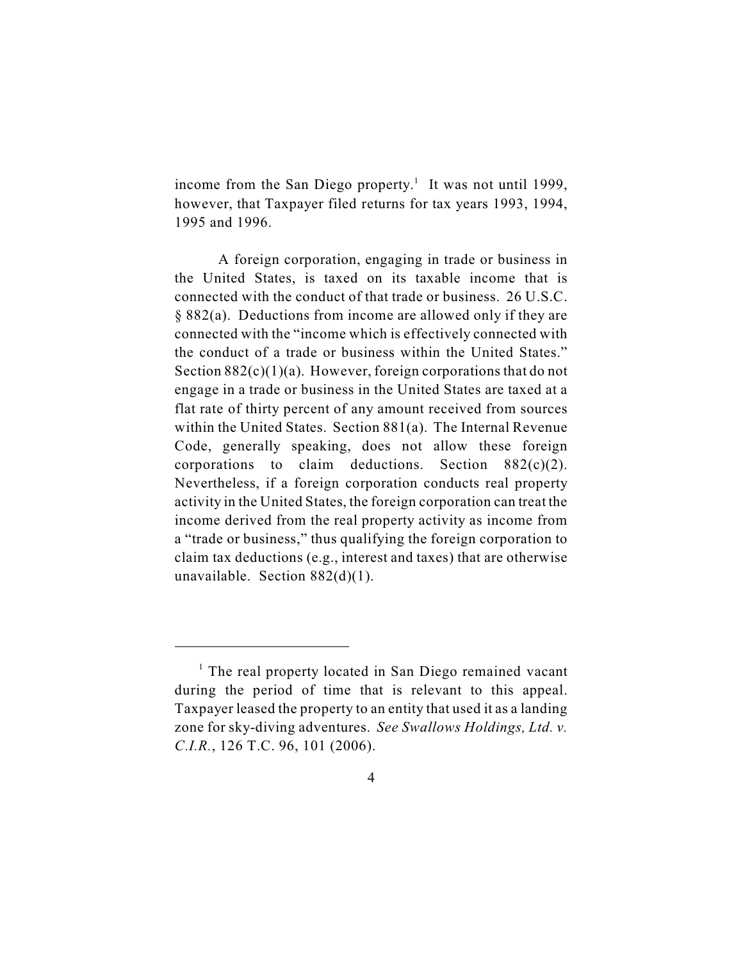income from the San Diego property.<sup>1</sup> It was not until 1999, however, that Taxpayer filed returns for tax years 1993, 1994, 1995 and 1996.

A foreign corporation, engaging in trade or business in the United States, is taxed on its taxable income that is connected with the conduct of that trade or business. 26 U.S.C. § 882(a). Deductions from income are allowed only if they are connected with the "income which is effectively connected with the conduct of a trade or business within the United States." Section  $882(c)(1)(a)$ . However, foreign corporations that do not engage in a trade or business in the United States are taxed at a flat rate of thirty percent of any amount received from sources within the United States. Section 881(a). The Internal Revenue Code, generally speaking, does not allow these foreign corporations to claim deductions. Section  $882(c)(2)$ . Nevertheless, if a foreign corporation conducts real property activity in the United States, the foreign corporation can treat the income derived from the real property activity as income from a "trade or business," thus qualifying the foreign corporation to claim tax deductions (e.g., interest and taxes) that are otherwise unavailable. Section 882(d)(1).

 $<sup>1</sup>$  The real property located in San Diego remained vacant</sup> during the period of time that is relevant to this appeal. Taxpayer leased the property to an entity that used it as a landing zone for sky-diving adventures. *See Swallows Holdings, Ltd. v. C.I.R.*, 126 T.C. 96, 101 (2006).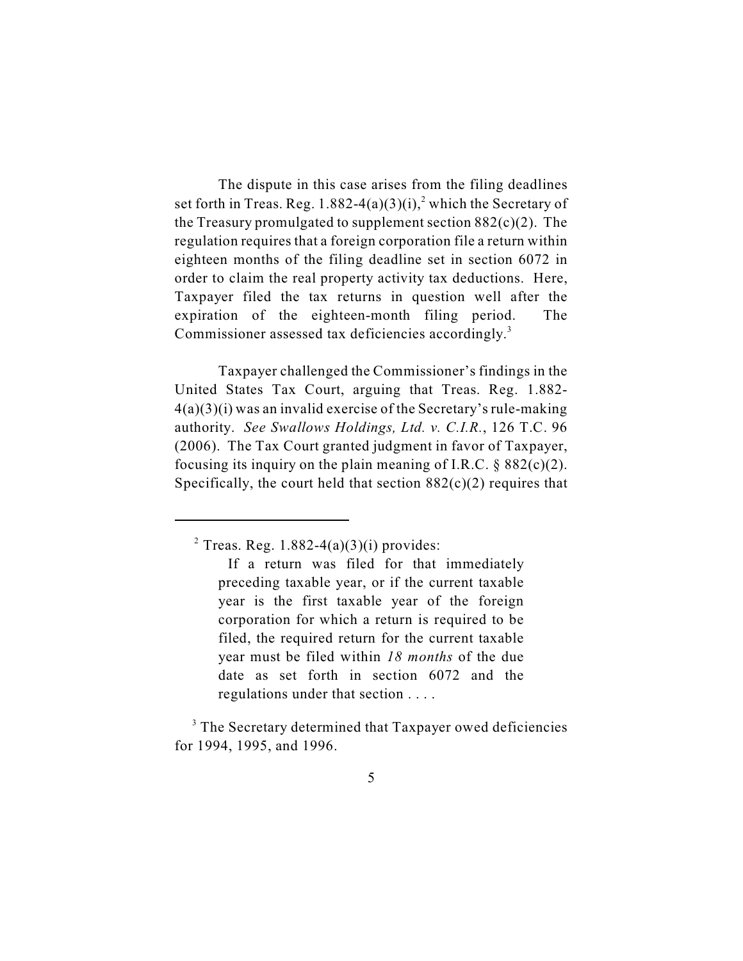The dispute in this case arises from the filing deadlines set forth in Treas. Reg. 1.882-4(a)(3)(i),<sup>2</sup> which the Secretary of the Treasury promulgated to supplement section  $882(c)(2)$ . The regulation requires that a foreign corporation file a return within eighteen months of the filing deadline set in section 6072 in order to claim the real property activity tax deductions. Here, Taxpayer filed the tax returns in question well after the expiration of the eighteen-month filing period. The Commissioner assessed tax deficiencies accordingly.<sup>3</sup>

Taxpayer challenged the Commissioner's findings in the United States Tax Court, arguing that Treas. Reg. 1.882-  $4(a)(3)(i)$  was an invalid exercise of the Secretary's rule-making authority. *See Swallows Holdings, Ltd. v. C.I.R.*, 126 T.C. 96 (2006). The Tax Court granted judgment in favor of Taxpayer, focusing its inquiry on the plain meaning of I.R.C.  $\S 882(c)(2)$ . Specifically, the court held that section  $882(c)(2)$  requires that

 $2$  Treas. Reg. 1.882-4(a)(3)(i) provides:

If a return was filed for that immediately preceding taxable year, or if the current taxable year is the first taxable year of the foreign corporation for which a return is required to be filed, the required return for the current taxable year must be filed within *18 months* of the due date as set forth in section 6072 and the regulations under that section . . . .

<sup>&</sup>lt;sup>3</sup> The Secretary determined that Taxpayer owed deficiencies for 1994, 1995, and 1996.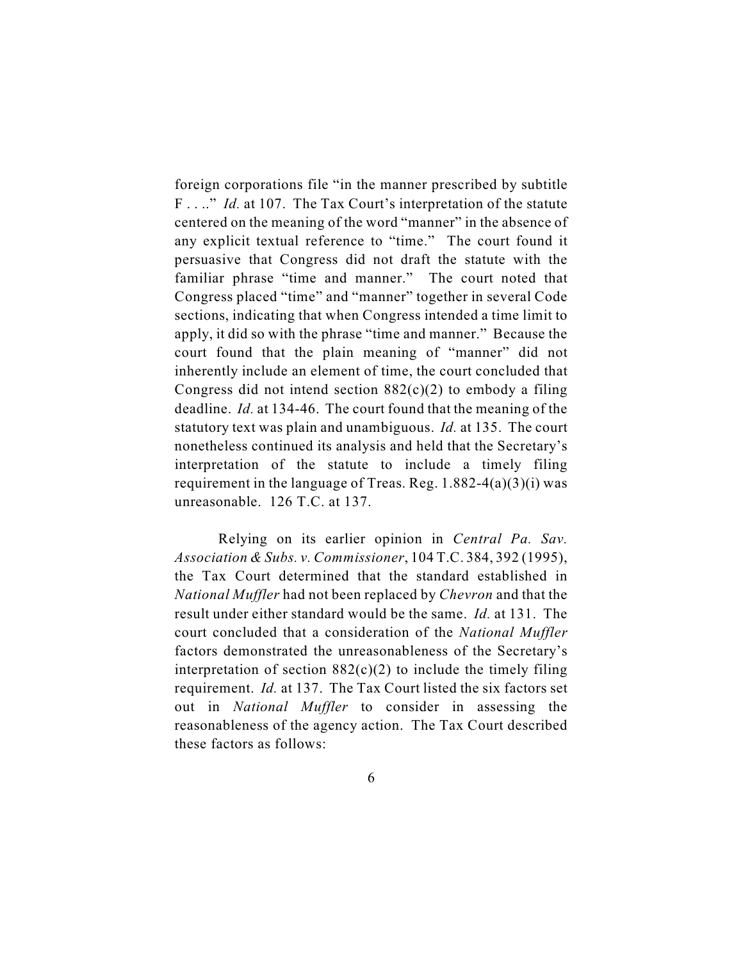foreign corporations file "in the manner prescribed by subtitle F . . .." *Id.* at 107. The Tax Court's interpretation of the statute centered on the meaning of the word "manner" in the absence of any explicit textual reference to "time." The court found it persuasive that Congress did not draft the statute with the familiar phrase "time and manner." The court noted that Congress placed "time" and "manner" together in several Code sections, indicating that when Congress intended a time limit to apply, it did so with the phrase "time and manner." Because the court found that the plain meaning of "manner" did not inherently include an element of time, the court concluded that Congress did not intend section  $882(c)(2)$  to embody a filing deadline. *Id.* at 134-46. The court found that the meaning of the statutory text was plain and unambiguous. *Id.* at 135. The court nonetheless continued its analysis and held that the Secretary's interpretation of the statute to include a timely filing requirement in the language of Treas. Reg.  $1.882-4(a)(3)(i)$  was unreasonable. 126 T.C. at 137.

Relying on its earlier opinion in *Central Pa. Sav. Association & Subs. v. Commissioner*, 104 T.C. 384, 392 (1995), the Tax Court determined that the standard established in *National Muffler* had not been replaced by *Chevron* and that the result under either standard would be the same. *Id.* at 131. The court concluded that a consideration of the *National Muffler* factors demonstrated the unreasonableness of the Secretary's interpretation of section  $882(c)(2)$  to include the timely filing requirement. *Id.* at 137. The Tax Court listed the six factors set out in *National Muffler* to consider in assessing the reasonableness of the agency action. The Tax Court described these factors as follows: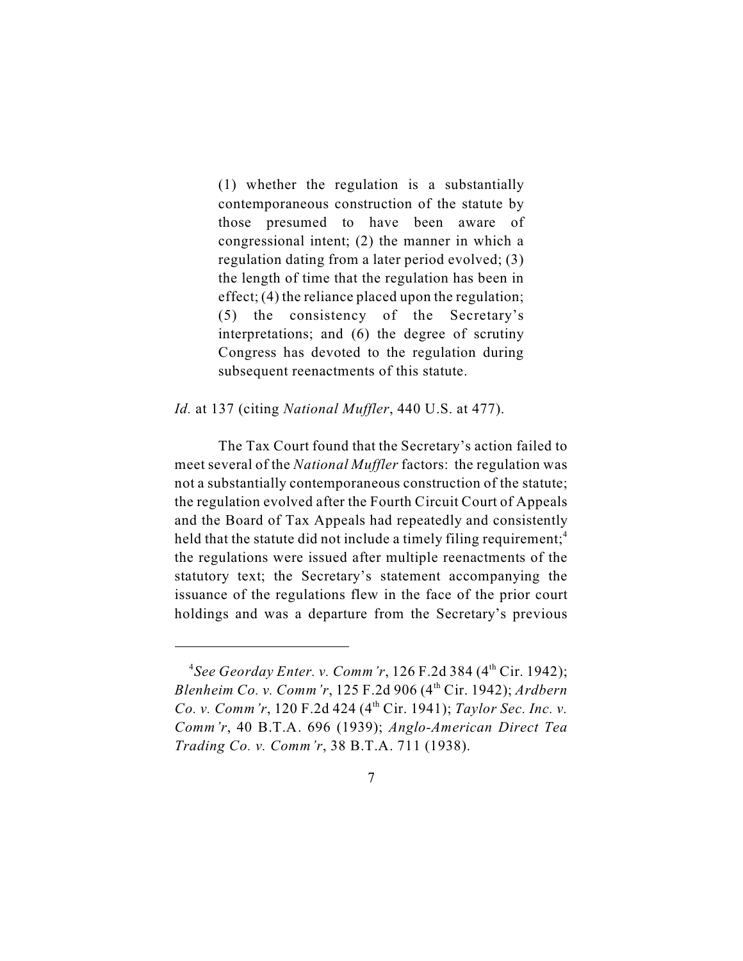(1) whether the regulation is a substantially contemporaneous construction of the statute by those presumed to have been aware of congressional intent; (2) the manner in which a regulation dating from a later period evolved; (3) the length of time that the regulation has been in effect; (4) the reliance placed upon the regulation; (5) the consistency of the Secretary's interpretations; and (6) the degree of scrutiny Congress has devoted to the regulation during subsequent reenactments of this statute.

## *Id.* at 137 (citing *National Muffler*, 440 U.S. at 477).

The Tax Court found that the Secretary's action failed to meet several of the *National Muffler* factors: the regulation was not a substantially contemporaneous construction of the statute; the regulation evolved after the Fourth Circuit Court of Appeals and the Board of Tax Appeals had repeatedly and consistently held that the statute did not include a timely filing requirement;<sup>4</sup> the regulations were issued after multiple reenactments of the statutory text; the Secretary's statement accompanying the issuance of the regulations flew in the face of the prior court holdings and was a departure from the Secretary's previous

<sup>&</sup>lt;sup>4</sup>See *Georday Enter. v. Comm'r*, 126 F.2d 384 (4<sup>th</sup> Cir. 1942); *Blenheim Co. v. Comm'r, 125 F.2d 906 (4<sup>th</sup> Cir. 1942); <i>Ardbern Co. v. Comm'r,* 120 F.2d 424 (4<sup>th</sup> Cir. 1941); *Taylor Sec. Inc. v. Comm'r*, 40 B.T.A. 696 (1939); *Anglo-American Direct Tea Trading Co. v. Comm'r*, 38 B.T.A. 711 (1938).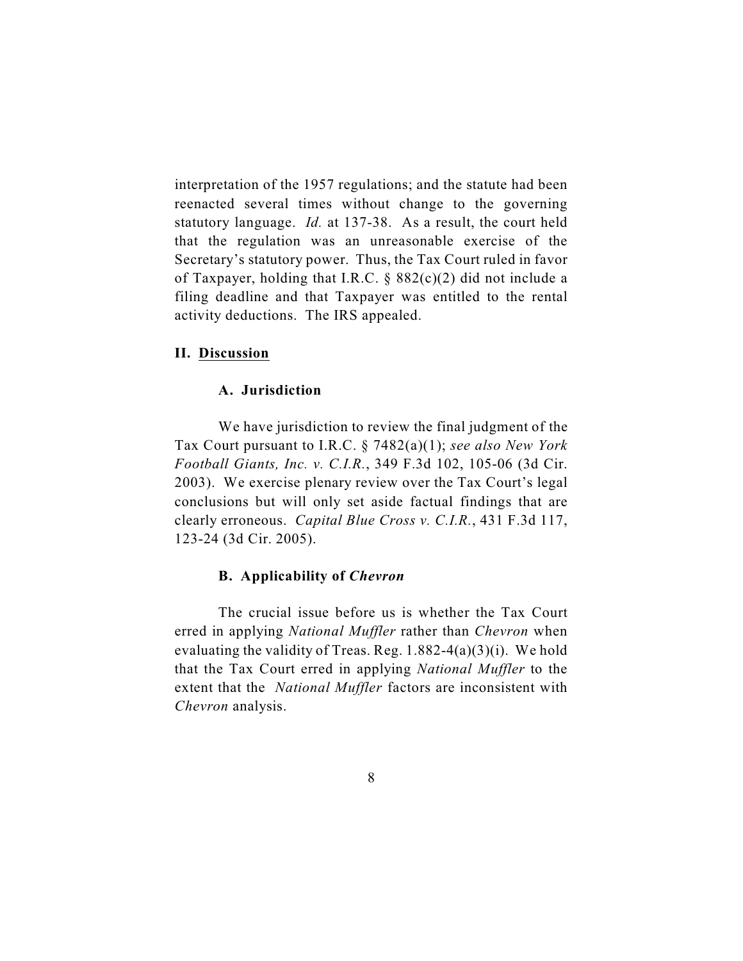interpretation of the 1957 regulations; and the statute had been reenacted several times without change to the governing statutory language. *Id.* at 137-38. As a result, the court held that the regulation was an unreasonable exercise of the Secretary's statutory power. Thus, the Tax Court ruled in favor of Taxpayer, holding that I.R.C. § 882(c)(2) did not include a filing deadline and that Taxpayer was entitled to the rental activity deductions. The IRS appealed.

## **II. Discussion**

#### **A. Jurisdiction**

We have jurisdiction to review the final judgment of the Tax Court pursuant to I.R.C. § 7482(a)(1); *see also New York Football Giants, Inc. v. C.I.R.*, 349 F.3d 102, 105-06 (3d Cir. 2003). We exercise plenary review over the Tax Court's legal conclusions but will only set aside factual findings that are clearly erroneous. *Capital Blue Cross v. C.I.R.*, 431 F.3d 117, 123-24 (3d Cir. 2005).

#### **B. Applicability of** *Chevron*

The crucial issue before us is whether the Tax Court erred in applying *National Muffler* rather than *Chevron* when evaluating the validity of Treas. Reg.  $1.882-4(a)(3)(i)$ . We hold that the Tax Court erred in applying *National Muffler* to the extent that the *National Muffler* factors are inconsistent with *Chevron* analysis.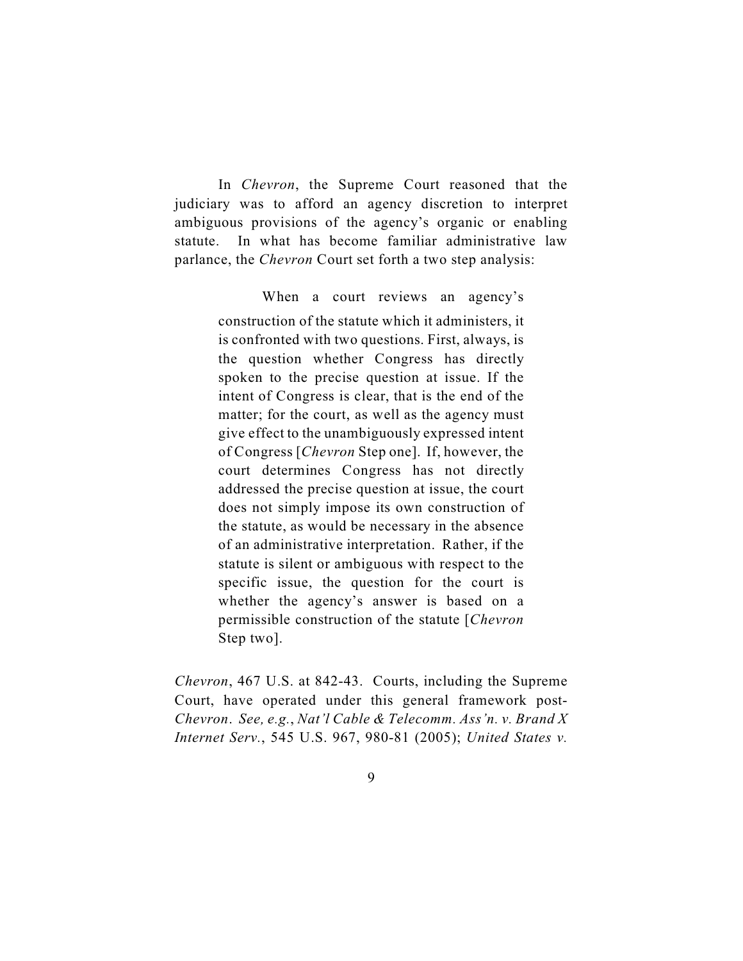In *Chevron*, the Supreme Court reasoned that the judiciary was to afford an agency discretion to interpret ambiguous provisions of the agency's organic or enabling statute. In what has become familiar administrative law parlance, the *Chevron* Court set forth a two step analysis:

When a court reviews an agency's

construction of the statute which it administers, it is confronted with two questions. First, always, is the question whether Congress has directly spoken to the precise question at issue. If the intent of Congress is clear, that is the end of the matter; for the court, as well as the agency must give effect to the unambiguously expressed intent of Congress [*Chevron* Step one]. If, however, the court determines Congress has not directly addressed the precise question at issue, the court does not simply impose its own construction of the statute, as would be necessary in the absence of an administrative interpretation. Rather, if the statute is silent or ambiguous with respect to the specific issue, the question for the court is whether the agency's answer is based on a permissible construction of the statute [*Chevron* Step two].

*Chevron*, 467 U.S. at 842-43.Courts, including the Supreme Court, have operated under this general framework post-*Chevron*. *See, e.g.*, *Nat'l Cable & Telecomm. Ass'n. v. Brand X Internet Serv.*, 545 U.S. 967, 980-81 (2005); *United States v.*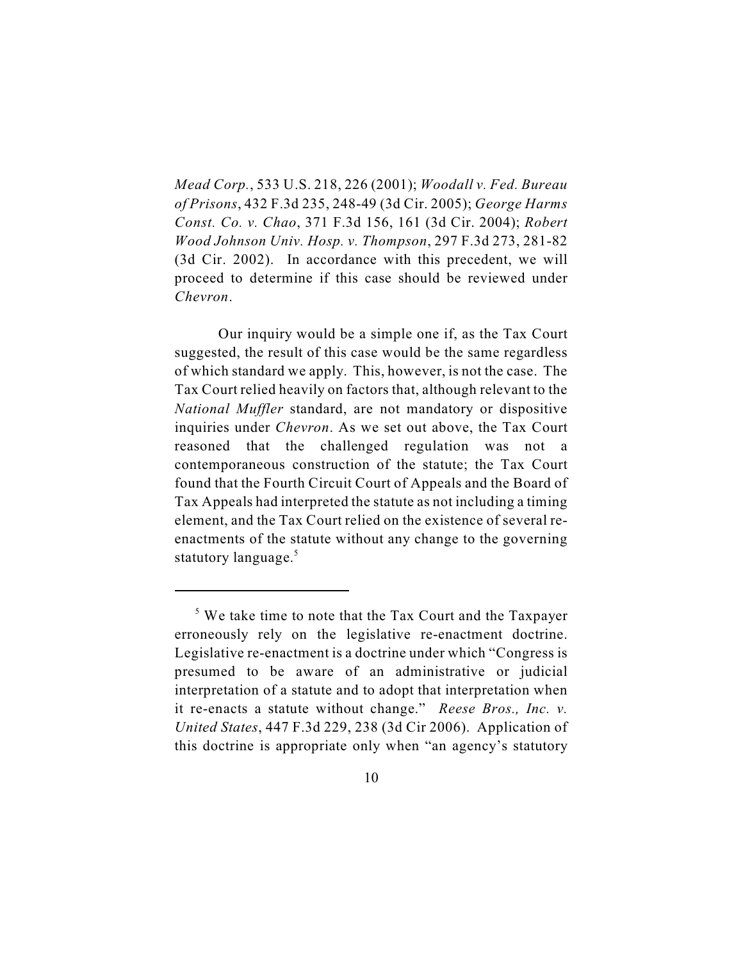*Mead Corp.*, 533 U.S. 218, 226 (2001); *Woodall v. Fed. Bureau of Prisons*, 432 F.3d 235, 248-49 (3d Cir. 2005); *George Harms Const. Co. v. Chao*, 371 F.3d 156, 161 (3d Cir. 2004); *Robert Wood Johnson Univ. Hosp. v. Thompson*, 297 F.3d 273, 281-82 (3d Cir. 2002). In accordance with this precedent, we will proceed to determine if this case should be reviewed under *Chevron*.

Our inquiry would be a simple one if, as the Tax Court suggested, the result of this case would be the same regardless of which standard we apply. This, however, is not the case. The Tax Court relied heavily on factors that, although relevant to the *National Muffler* standard, are not mandatory or dispositive inquiries under *Chevron*. As we set out above, the Tax Court reasoned that the challenged regulation was not a contemporaneous construction of the statute; the Tax Court found that the Fourth Circuit Court of Appeals and the Board of Tax Appeals had interpreted the statute as not including a timing element, and the Tax Court relied on the existence of several reenactments of the statute without any change to the governing statutory language.<sup>5</sup>

 $\frac{5}{5}$  We take time to note that the Tax Court and the Taxpayer erroneously rely on the legislative re-enactment doctrine. Legislative re-enactment is a doctrine under which "Congress is presumed to be aware of an administrative or judicial interpretation of a statute and to adopt that interpretation when it re-enacts a statute without change." *Reese Bros., Inc. v. United States*, 447 F.3d 229, 238 (3d Cir 2006). Application of this doctrine is appropriate only when "an agency's statutory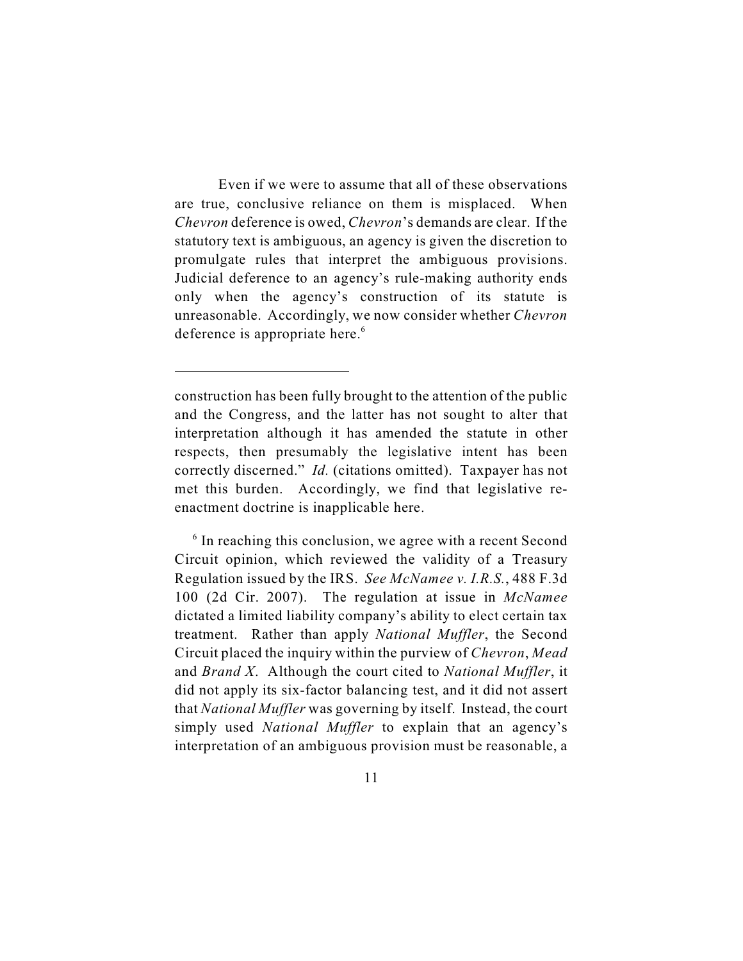Even if we were to assume that all of these observations are true, conclusive reliance on them is misplaced. When *Chevron* deference is owed, *Chevron*'s demands are clear. If the statutory text is ambiguous, an agency is given the discretion to promulgate rules that interpret the ambiguous provisions. Judicial deference to an agency's rule-making authority ends only when the agency's construction of its statute is unreasonable. Accordingly, we now consider whether *Chevron* deference is appropriate here.<sup>6</sup>

construction has been fully brought to the attention of the public and the Congress, and the latter has not sought to alter that interpretation although it has amended the statute in other respects, then presumably the legislative intent has been correctly discerned." *Id.* (citations omitted). Taxpayer has not met this burden. Accordingly, we find that legislative reenactment doctrine is inapplicable here.

 $6$  In reaching this conclusion, we agree with a recent Second Circuit opinion, which reviewed the validity of a Treasury Regulation issued by the IRS. *See McNamee v. I.R.S.*, 488 F.3d 100 (2d Cir. 2007). The regulation at issue in *McNamee* dictated a limited liability company's ability to elect certain tax treatment. Rather than apply *National Muffler*, the Second Circuit placed the inquiry within the purview of *Chevron*, *Mead* and *Brand X*. Although the court cited to *National Muffler*, it did not apply its six-factor balancing test, and it did not assert that *National Muffler* was governing by itself. Instead, the court simply used *National Muffler* to explain that an agency's interpretation of an ambiguous provision must be reasonable, a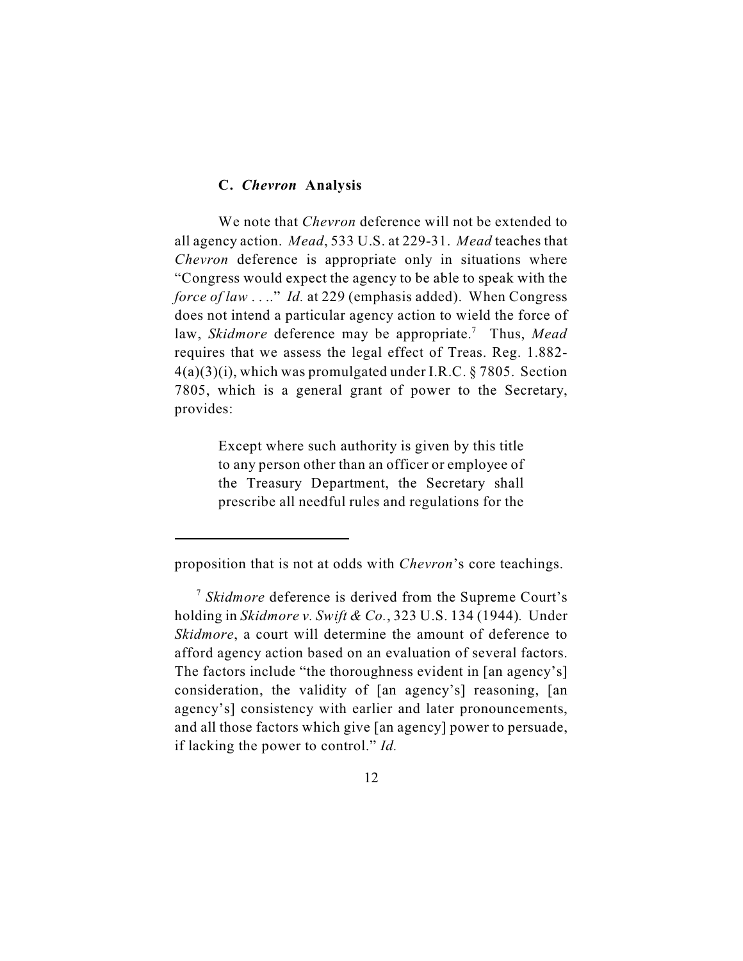# **C.** *Chevron* **Analysis**

We note that *Chevron* deference will not be extended to all agency action.*Mead*, 533 U.S. at 229-31. *Mead* teaches that *Chevron* deference is appropriate only in situations where "Congress would expect the agency to be able to speak with the *force of law* . . .." *Id.* at 229 (emphasis added). When Congress does not intend a particular agency action to wield the force of law, *Skidmore* deference may be appropriate.<sup>7</sup> Thus, *Mead* requires that we assess the legal effect of Treas. Reg. 1.882-  $4(a)(3)(i)$ , which was promulgated under I.R.C. § 7805. Section 7805, which is a general grant of power to the Secretary, provides:

> Except where such authority is given by this title to any person other than an officer or employee of the Treasury Department, the Secretary shall prescribe all needful rules and regulations for the

proposition that is not at odds with *Chevron*'s core teachings.

<sup>&</sup>lt;sup>7</sup> Skidmore deference is derived from the Supreme Court's holding in *Skidmore v. Swift & Co.*, 323 U.S. 134 (1944)*.* Under *Skidmore*, a court will determine the amount of deference to afford agency action based on an evaluation of several factors. The factors include "the thoroughness evident in [an agency's] consideration, the validity of [an agency's] reasoning, [an agency's] consistency with earlier and later pronouncements, and all those factors which give [an agency] power to persuade, if lacking the power to control." *Id.*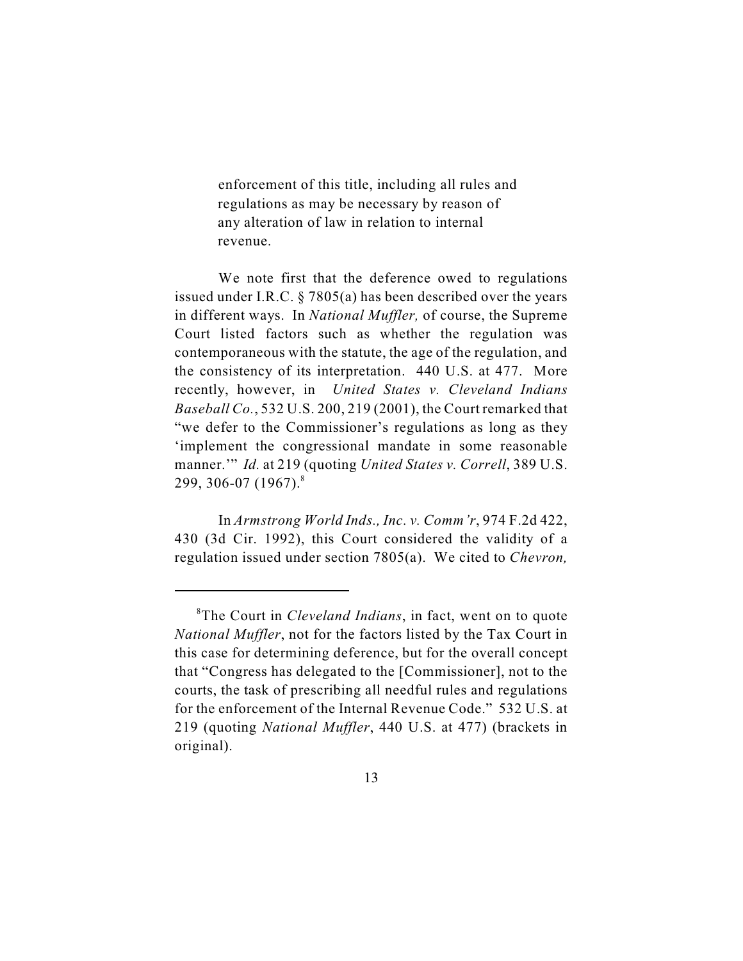enforcement of this title, including all rules and regulations as may be necessary by reason of any alteration of law in relation to internal revenue.

We note first that the deference owed to regulations issued under I.R.C. § 7805(a) has been described over the years in different ways. In *National Muffler,* of course, the Supreme Court listed factors such as whether the regulation was contemporaneous with the statute, the age of the regulation, and the consistency of its interpretation. 440 U.S. at 477. More recently, however, in *United States v. Cleveland Indians Baseball Co.*, 532 U.S. 200, 219 (2001), the Court remarked that "we defer to the Commissioner's regulations as long as they 'implement the congressional mandate in some reasonable manner." *Id.* at 219 (quoting *United States v. Correll*, 389 U.S. 299, 306-07 (1967). 8

In *Armstrong World Inds., Inc. v. Comm'r*, 974 F.2d 422, 430 (3d Cir. 1992), this Court considered the validity of a regulation issued under section 7805(a). We cited to *Chevron,*

<sup>&</sup>lt;sup>8</sup>The Court in *Cleveland Indians*, in fact, went on to quote *National Muffler*, not for the factors listed by the Tax Court in this case for determining deference, but for the overall concept that "Congress has delegated to the [Commissioner], not to the courts, the task of prescribing all needful rules and regulations for the enforcement of the Internal Revenue Code." 532 U.S. at 219 (quoting *National Muffler*, 440 U.S. at 477) (brackets in original).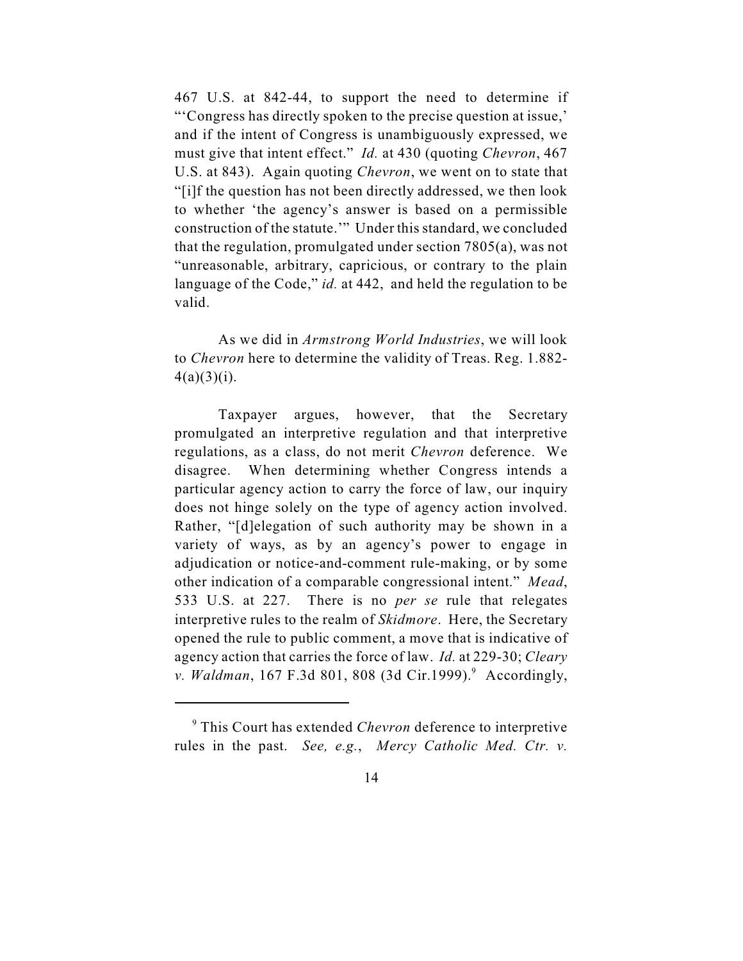467 U.S. at 842-44, to support the need to determine if "'Congress has directly spoken to the precise question at issue,' and if the intent of Congress is unambiguously expressed, we must give that intent effect." *Id.* at 430 (quoting *Chevron*, 467 U.S. at 843). Again quoting *Chevron*, we went on to state that "[i]f the question has not been directly addressed, we then look to whether 'the agency's answer is based on a permissible construction of the statute.'" Under this standard, we concluded that the regulation, promulgated under section 7805(a), was not "unreasonable, arbitrary, capricious, or contrary to the plain language of the Code," *id.* at 442, and held the regulation to be valid.

As we did in *Armstrong World Industries*, we will look to *Chevron* here to determine the validity of Treas. Reg. 1.882-  $4(a)(3)(i)$ .

Taxpayer argues, however, that the Secretary promulgated an interpretive regulation and that interpretive regulations, as a class, do not merit *Chevron* deference. We disagree. When determining whether Congress intends a particular agency action to carry the force of law, our inquiry does not hinge solely on the type of agency action involved. Rather, "[d]elegation of such authority may be shown in a variety of ways, as by an agency's power to engage in adjudication or notice-and-comment rule-making, or by some other indication of a comparable congressional intent." *Mead*, 533 U.S. at 227. There is no *per se* rule that relegates interpretive rules to the realm of *Skidmore*. Here, the Secretary opened the rule to public comment, a move that is indicative of agency action that carries the force of law. *Id.* at 229-30; *Cleary v. Waldman*, 167 F.3d 801, 808 (3d Cir.1999).<sup>9</sup> Accordingly,

This Court has extended *Chevron* deference to interpretive <sup>9</sup> rules in the past. *See, e.g.*, *Mercy Catholic Med. Ctr. v.*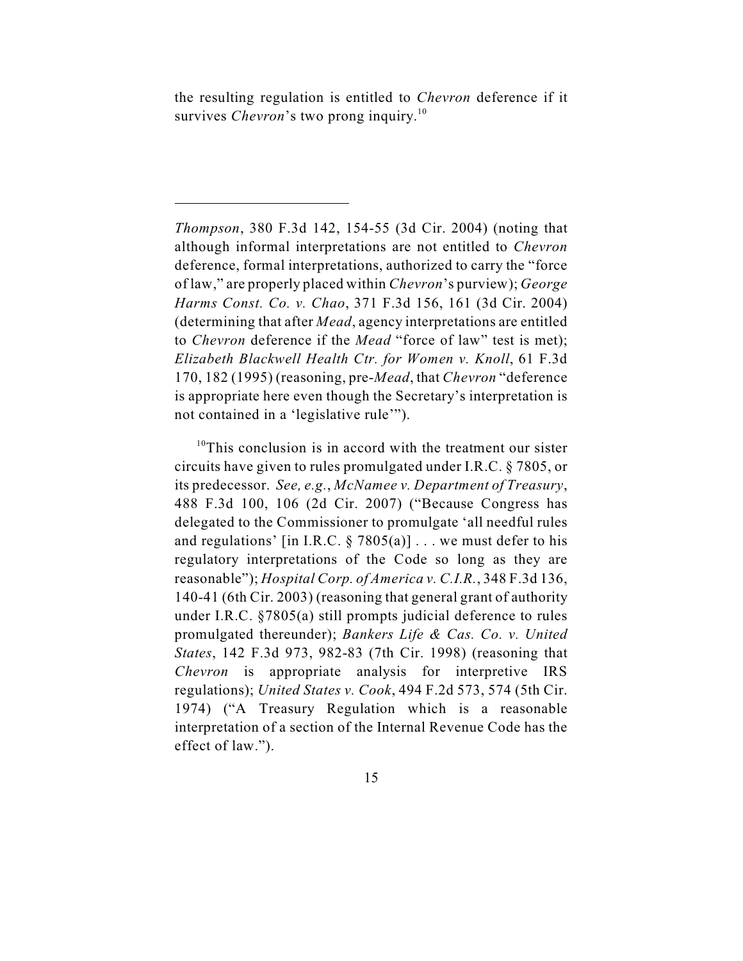the resulting regulation is entitled to *Chevron* deference if it survives *Chevron*'s two prong inquiry.<sup>10</sup>

 $10$ <sup>10</sup>This conclusion is in accord with the treatment our sister circuits have given to rules promulgated under I.R.C. § 7805, or its predecessor. *See, e.g.*, *McNamee v. Department of Treasury*, 488 F.3d 100, 106 (2d Cir. 2007) ("Because Congress has delegated to the Commissioner to promulgate 'all needful rules and regulations' [in I.R.C.  $\S 7805(a)$ ] ... we must defer to his regulatory interpretations of the Code so long as they are reasonable"); *Hospital Corp. of America v. C.I.R.*, 348 F.3d 136, 140-41 (6th Cir. 2003) (reasoning that general grant of authority under I.R.C. §7805(a) still prompts judicial deference to rules promulgated thereunder); *Bankers Life & Cas. Co. v. United States*, 142 F.3d 973, 982-83 (7th Cir. 1998) (reasoning that *Chevron* is appropriate analysis for interpretive IRS regulations); *United States v. Cook*, 494 F.2d 573, 574 (5th Cir. 1974) ("A Treasury Regulation which is a reasonable interpretation of a section of the Internal Revenue Code has the effect of law.").

*Thompson*, 380 F.3d 142, 154-55 (3d Cir. 2004) (noting that although informal interpretations are not entitled to *Chevron* deference, formal interpretations, authorized to carry the "force of law," are properly placed within *Chevron*'s purview); *George Harms Const. Co. v. Chao*, 371 F.3d 156, 161 (3d Cir. 2004) (determining that after *Mead*, agency interpretations are entitled to *Chevron* deference if the *Mead* "force of law" test is met); *Elizabeth Blackwell Health Ctr. for Women v. Knoll*, 61 F.3d 170, 182 (1995) (reasoning, pre-*Mead*, that *Chevron* "deference is appropriate here even though the Secretary's interpretation is not contained in a 'legislative rule'").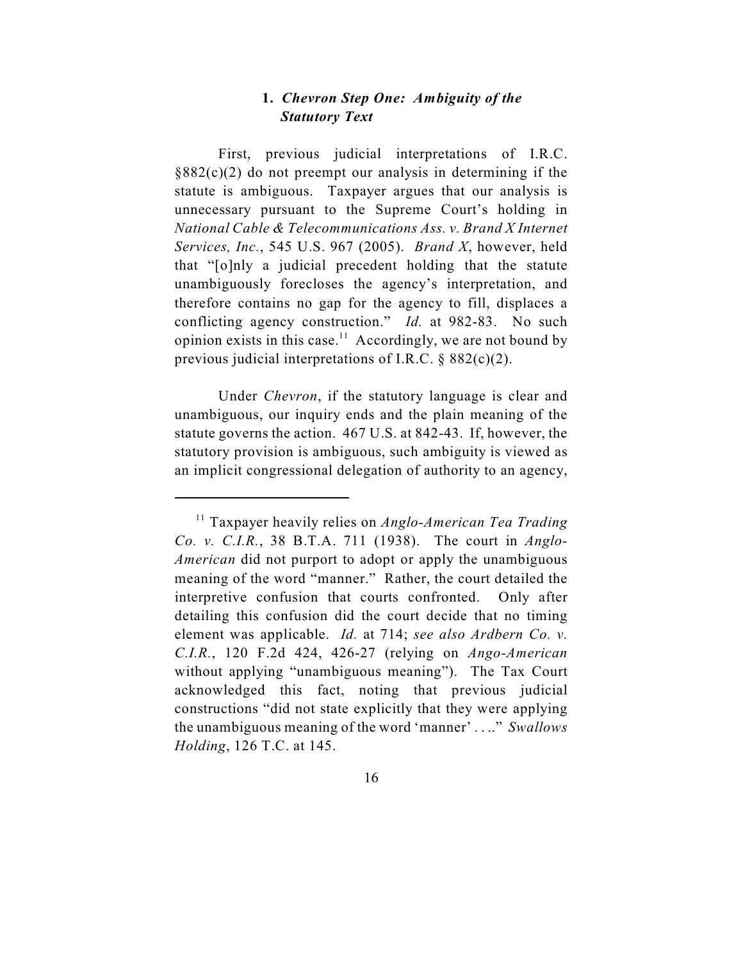# **1.** *Chevron Step One: Ambiguity of the Statutory Text*

First, previous judicial interpretations of I.R.C.  $§882(c)(2)$  do not preempt our analysis in determining if the statute is ambiguous. Taxpayer argues that our analysis is unnecessary pursuant to the Supreme Court's holding in *National Cable & Telecommunications Ass. v. Brand X Internet Services, Inc.*, 545 U.S. 967 (2005). *Brand X*, however, held that "[o]nly a judicial precedent holding that the statute unambiguously forecloses the agency's interpretation, and therefore contains no gap for the agency to fill, displaces a conflicting agency construction." *Id.* at 982-83. No such opinion exists in this case.<sup>11</sup> Accordingly, we are not bound by previous judicial interpretations of I.R.C. § 882(c)(2).

Under *Chevron*, if the statutory language is clear and unambiguous, our inquiry ends and the plain meaning of the statute governs the action. 467 U.S. at 842-43. If, however, the statutory provision is ambiguous, such ambiguity is viewed as an implicit congressional delegation of authority to an agency,

<sup>&</sup>lt;sup>11</sup> Taxpayer heavily relies on *Anglo-American Tea Trading Co. v. C.I.R.*, 38 B.T.A. 711 (1938). The court in *Anglo-American* did not purport to adopt or apply the unambiguous meaning of the word "manner." Rather, the court detailed the interpretive confusion that courts confronted. Only after detailing this confusion did the court decide that no timing element was applicable. *Id.* at 714; *see also Ardbern Co. v. C.I.R.*, 120 F.2d 424, 426-27 (relying on *Ango-American* without applying "unambiguous meaning"). The Tax Court acknowledged this fact, noting that previous judicial constructions "did not state explicitly that they were applying the unambiguous meaning of the word 'manner' . . .." *Swallows Holding*, 126 T.C. at 145.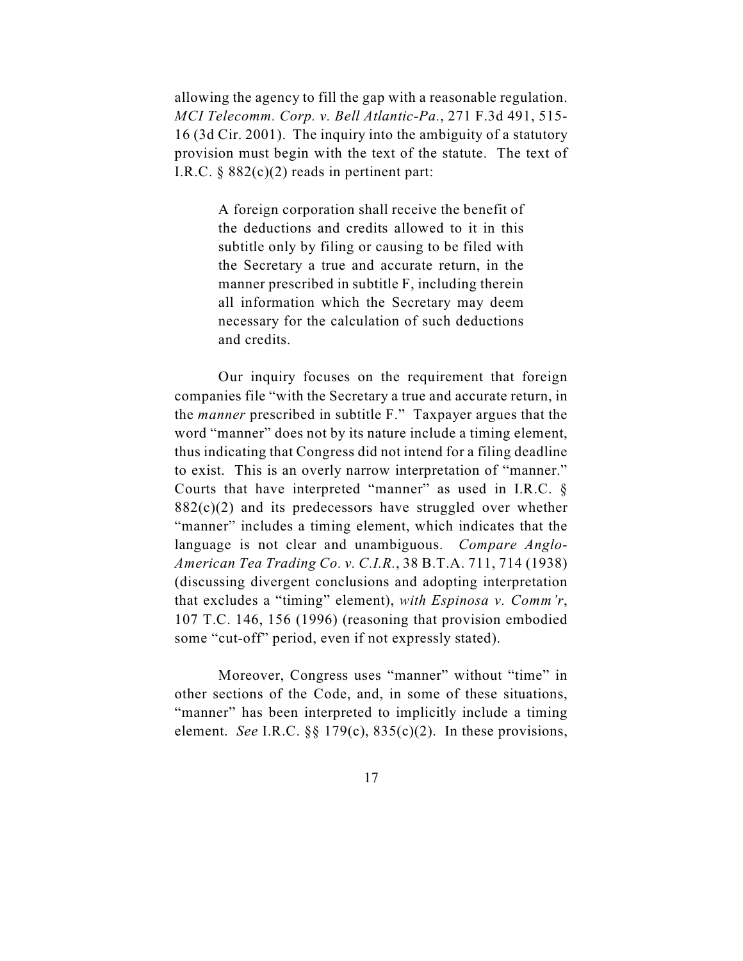allowing the agency to fill the gap with a reasonable regulation. *MCI Telecomm. Corp. v. Bell Atlantic-Pa.*, 271 F.3d 491, 515- 16 (3d Cir. 2001). The inquiry into the ambiguity of a statutory provision must begin with the text of the statute. The text of I.R.C.  $\S$  882(c)(2) reads in pertinent part:

> A foreign corporation shall receive the benefit of the deductions and credits allowed to it in this subtitle only by filing or causing to be filed with the Secretary a true and accurate return, in the manner prescribed in subtitle F, including therein all information which the Secretary may deem necessary for the calculation of such deductions and credits.

Our inquiry focuses on the requirement that foreign companies file "with the Secretary a true and accurate return, in the *manner* prescribed in subtitle F." Taxpayer argues that the word "manner" does not by its nature include a timing element, thus indicating that Congress did not intend for a filing deadline to exist. This is an overly narrow interpretation of "manner." Courts that have interpreted "manner" as used in I.R.C. §  $882(c)(2)$  and its predecessors have struggled over whether "manner" includes a timing element, which indicates that the language is not clear and unambiguous. *Compare Anglo-American Tea Trading Co. v. C.I.R.*, 38 B.T.A. 711, 714 (1938) (discussing divergent conclusions and adopting interpretation that excludes a "timing" element), *with Espinosa v. Comm'r*, 107 T.C. 146, 156 (1996) (reasoning that provision embodied some "cut-off" period, even if not expressly stated).

Moreover, Congress uses "manner" without "time" in other sections of the Code, and, in some of these situations, "manner" has been interpreted to implicitly include a timing element. *See* I.R.C. §§ 179(c), 835(c)(2). In these provisions,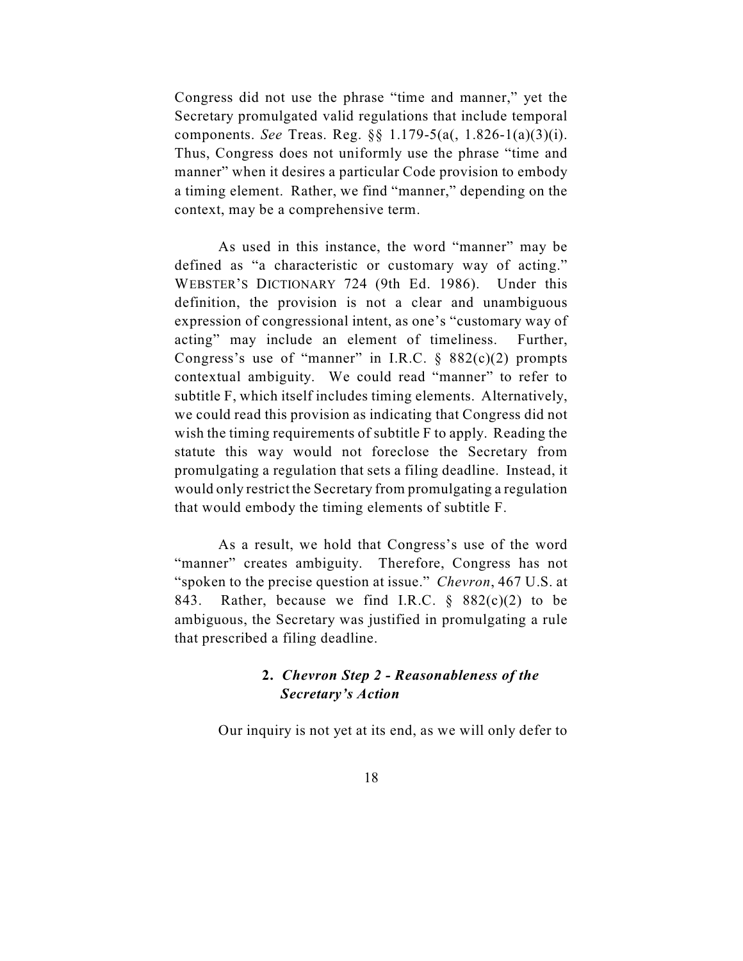Congress did not use the phrase "time and manner," yet the Secretary promulgated valid regulations that include temporal components. *See* Treas. Reg. §§ 1.179-5(a(, 1.826-1(a)(3)(i). Thus, Congress does not uniformly use the phrase "time and manner" when it desires a particular Code provision to embody a timing element. Rather, we find "manner," depending on the context, may be a comprehensive term.

As used in this instance, the word "manner" may be defined as "a characteristic or customary way of acting." WEBSTER'S DICTIONARY 724 (9th Ed. 1986). Under this definition, the provision is not a clear and unambiguous expression of congressional intent, as one's "customary way of acting" may include an element of timeliness. Further, Congress's use of "manner" in I.R.C.  $\S$  882(c)(2) prompts contextual ambiguity. We could read "manner" to refer to subtitle F, which itself includes timing elements. Alternatively, we could read this provision as indicating that Congress did not wish the timing requirements of subtitle F to apply. Reading the statute this way would not foreclose the Secretary from promulgating a regulation that sets a filing deadline. Instead, it would only restrict the Secretary from promulgating a regulation that would embody the timing elements of subtitle F.

As a result, we hold that Congress's use of the word "manner" creates ambiguity. Therefore, Congress has not "spoken to the precise question at issue." *Chevron*, 467 U.S. at 843. Rather, because we find I.R.C.  $\S$  882(c)(2) to be ambiguous, the Secretary was justified in promulgating a rule that prescribed a filing deadline.

# **2.** *Chevron Step 2 - Reasonableness of the Secretary's Action*

Our inquiry is not yet at its end, as we will only defer to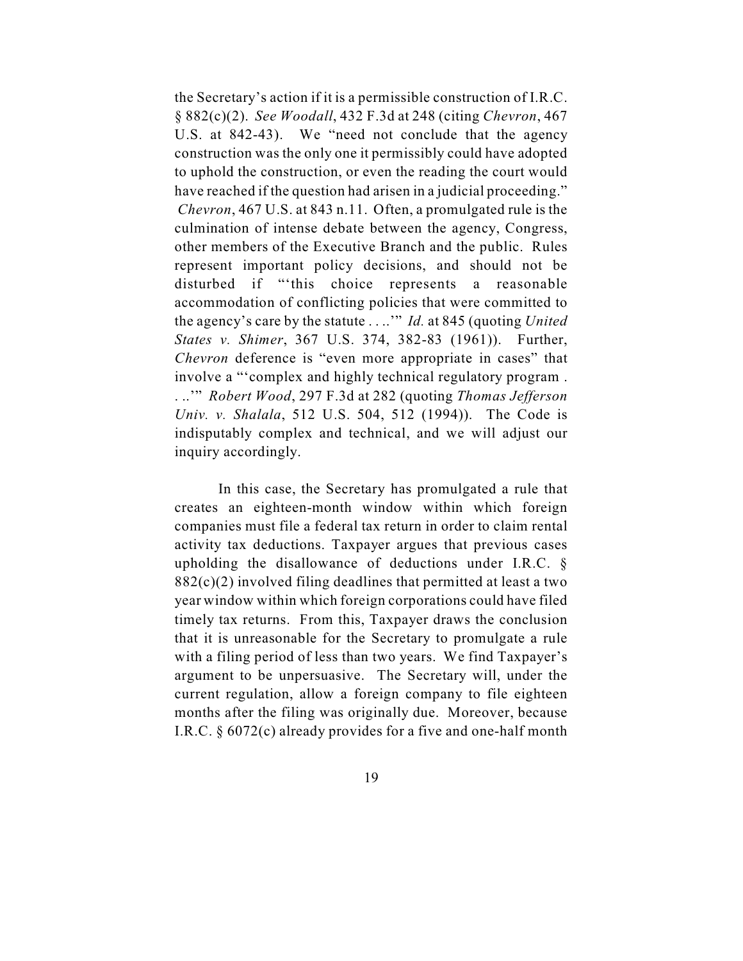the Secretary's action if it is a permissible construction of I.R.C. § 882(c)(2). *See Woodall*, 432 F.3d at 248 (citing *Chevron*, 467 U.S. at 842-43). We "need not conclude that the agency construction was the only one it permissibly could have adopted to uphold the construction, or even the reading the court would have reached if the question had arisen in a judicial proceeding."  *Chevron*, 467 U.S. at 843 n.11. Often, a promulgated rule is the culmination of intense debate between the agency, Congress, other members of the Executive Branch and the public. Rules represent important policy decisions, and should not be disturbed if "'this choice represents a reasonable accommodation of conflicting policies that were committed to the agency's care by the statute . . ..'" *Id.* at 845 (quoting *United States v. Shimer*, 367 U.S. 374, 382-83 (1961)). Further, *Chevron* deference is "even more appropriate in cases" that involve a "'complex and highly technical regulatory program . . ..'" *Robert Wood*, 297 F.3d at 282 (quoting *Thomas Jefferson Univ. v. Shalala*, 512 U.S. 504, 512 (1994)). The Code is indisputably complex and technical, and we will adjust our inquiry accordingly.

In this case, the Secretary has promulgated a rule that creates an eighteen-month window within which foreign companies must file a federal tax return in order to claim rental activity tax deductions. Taxpayer argues that previous cases upholding the disallowance of deductions under I.R.C. § 882(c)(2) involved filing deadlines that permitted at least a two year window within which foreign corporations could have filed timely tax returns. From this, Taxpayer draws the conclusion that it is unreasonable for the Secretary to promulgate a rule with a filing period of less than two years. We find Taxpayer's argument to be unpersuasive. The Secretary will, under the current regulation, allow a foreign company to file eighteen months after the filing was originally due. Moreover, because I.R.C. § 6072(c) already provides for a five and one-half month